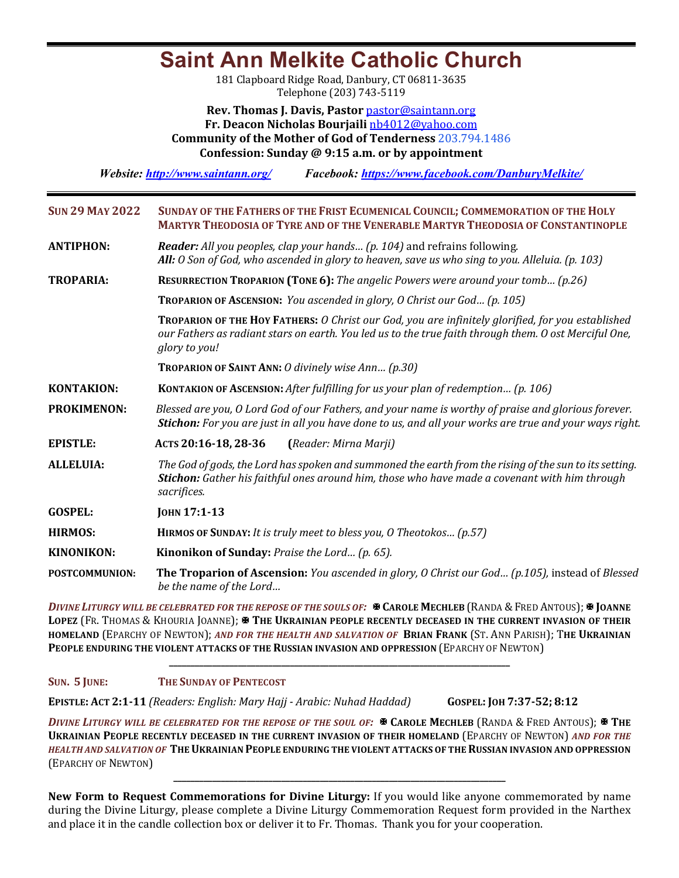# **Saint Ann Melkite Catholic Church**

181 Clapboard Ridge Road, Danbury, CT 06811-3635 Telephone (203) 743-5119

**Rev. Thomas J. Davis, Pastor** pastor@saintann.org **Fr. Deacon Nicholas Bourjaili** nb4012@yahoo.com **Community of the Mother of God of Tenderness 203.794.1486 Confession: Sunday @ 9:15 a.m. or by appointment**

*Website: http://www.saintann.org/ Facebook: https://www.facebook.com/DanburyMelkite/* 

| <b>SUN 29 MAY 2022</b> | SUNDAY OF THE FATHERS OF THE FRIST ECUMENICAL COUNCIL; COMMEMORATION OF THE HOLY<br><b>MARTYR THEODOSIA OF TYRE AND OF THE VENERABLE MARTYR THEODOSIA OF CONSTANTINOPLE</b>                                                 |  |  |  |
|------------------------|-----------------------------------------------------------------------------------------------------------------------------------------------------------------------------------------------------------------------------|--|--|--|
| <b>ANTIPHON:</b>       | Reader: All you peoples, clap your hands (p. 104) and refrains following.<br>All: 0 Son of God, who ascended in glory to heaven, save us who sing to you. Alleluia. (p. 103)                                                |  |  |  |
| <b>TROPARIA:</b>       | RESURRECTION TROPARION (TONE 6): The angelic Powers were around your tomb (p.26)                                                                                                                                            |  |  |  |
|                        | <b>TROPARION OF ASCENSION:</b> You ascended in glory, O Christ our God (p. 105)                                                                                                                                             |  |  |  |
|                        | TROPARION OF THE HOY FATHERS: O Christ our God, you are infinitely glorified, for you established<br>our Fathers as radiant stars on earth. You led us to the true faith through them. O ost Merciful One,<br>glory to you! |  |  |  |
|                        | <b>TROPARION OF SAINT ANN: O divinely wise Ann (p.30)</b>                                                                                                                                                                   |  |  |  |
| <b>KONTAKION:</b>      | KONTAKION OF ASCENSION: After fulfilling for us your plan of redemption (p. 106)                                                                                                                                            |  |  |  |
| <b>PROKIMENON:</b>     | Blessed are you, O Lord God of our Fathers, and your name is worthy of praise and glorious forever.<br>Stichon: For you are just in all you have done to us, and all your works are true and your ways right.               |  |  |  |
| <b>EPISTLE:</b>        | ACTS 20:16-18, 28-36<br>(Reader: Mirna Marji)                                                                                                                                                                               |  |  |  |
| <b>ALLELUIA:</b>       | The God of gods, the Lord has spoken and summoned the earth from the rising of the sun to its setting.<br>Stichon: Gather his faithful ones around him, those who have made a covenant with him through<br>sacrifices.      |  |  |  |
| <b>GOSPEL:</b>         | JOHN 17:1-13                                                                                                                                                                                                                |  |  |  |
| <b>HIRMOS:</b>         | <b>HIRMOS OF SUNDAY:</b> It is truly meet to bless you, O Theotokos (p.57)                                                                                                                                                  |  |  |  |
| <b>KINONIKON:</b>      | Kinonikon of Sunday: Praise the Lord (p. 65).                                                                                                                                                                               |  |  |  |
| <b>POSTCOMMUNION:</b>  | The Troparion of Ascension: You ascended in glory, O Christ our God (p.105), instead of Blessed<br>be the name of the Lord                                                                                                  |  |  |  |

*DIVINE LITURGY WILL BE CELEBRATED FOR THE REPOSE OF THE SOULS OF:*  $\mathbb{R}$  CAROLE MECHLEB (RANDA & FRED ANTOUS);  $\mathbb{R}$  JOANNE LOPEZ (FR. THOMAS & KHOURIA JOANNE); **X** THE UKRAINIAN PEOPLE RECENTLY DECEASED IN THE CURRENT INVASION OF THEIR **HOMELAND** (EPARCHY OF NEWTON); AND FOR THE HEALTH AND SALVATION OF BRIAN FRANK (ST. ANN PARISH); THE UKRAINIAN **PEOPLE ENDURING THE VIOLENT ATTACKS OF THE RUSSIAN INVASION AND OPPRESSION (EPARCHY OF NEWTON)** 

**\_\_\_\_\_\_\_\_\_\_\_\_\_\_\_\_\_\_\_\_\_\_\_\_\_\_\_\_\_\_\_\_\_\_\_\_\_\_\_\_\_\_\_\_\_\_\_\_\_\_\_\_\_\_\_\_\_\_\_\_\_\_\_\_\_\_\_\_\_\_\_\_\_\_\_\_\_\_\_**

#### **SUN. 5 JUNE: THE SUNDAY OF PENTECOST**

**EPISTLE: ACT 2:1-11** *(Readers: English: Mary Hajj - Arabic: Nuhad Haddad)*  **GOSPEL: JOH 7:37-52; 8:12**

*DIVINE LITURGY WILL BE CELEBRATED FOR THE REPOSE OF THE SOUL OF:*  $\mathbb{R}$  CAROLE MECHLEB (RANDA & FRED ANTOUS);  $\mathbb{R}$  THE **UKRAINIAN PEOPLE RECENTLY DECEASED IN THE CURRENT INVASION OF THEIR HOMELAND (EPARCHY OF NEWTON) AND FOR THE** *HEALTH AND SALVATION OF* THE UKRAINIAN PEOPLE ENDURING THE VIOLENT ATTACKS OF THE RUSSIAN INVASION AND OPPRESSION (EPARCHY OF NEWTON)

**\_\_\_\_\_\_\_\_\_\_\_\_\_\_\_\_\_\_\_\_\_\_\_\_\_\_\_\_\_\_\_\_\_\_\_\_\_\_\_\_\_\_\_\_\_\_\_\_\_\_\_\_\_\_\_\_\_\_\_\_\_\_\_\_\_\_\_\_\_\_\_\_\_\_\_\_\_**

**New Form to Request Commemorations for Divine Liturgy:** If you would like anyone commemorated by name during the Divine Liturgy, please complete a Divine Liturgy Commemoration Request form provided in the Narthex and place it in the candle collection box or deliver it to Fr. Thomas. Thank you for your cooperation.